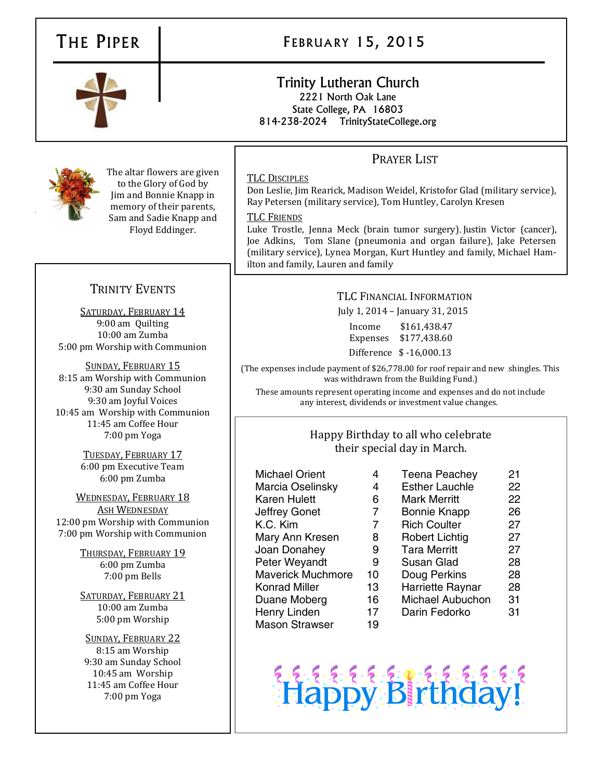# THE PIPER | FEBRUARY 15, 2015

# Trinity Lutheran Church 2221 North Oak Lane State College, PA 16803 814-238-2024 TrinityStateCollege.org

# PRAYER LIST

# TLC DISCIPLES

Don Leslie, Jim Rearick, Madison Weidel, Kristofor Glad (military service), Ray Petersen (military service), Tom Huntley, Carolyn Kresen

## TLC FRIENDS

Luke Trostle, Jenna Meck (brain tumor surgery), Justin Victor (cancer), Joe Adkins, Tom Slane (pneumonia and organ failure), Jake Petersen (military service), Lynea Morgan, Kurt Huntley and family, Michael Hamilton and family, Lauren and family

# TLC FINANCIAL INFORMATION

July 1, 2014 – January 31, 2015

Income \$161,438.47 Expenses \$177,438.60 Difference \$ -16,000.13

(The expenses include payment of \$26,778.00 for roof repair and new shingles. This was withdrawn from the Building Fund.)

These amounts represent operating income and expenses and do not include any interest, dividends or investment value changes.

# Happy Birthday to all who celebrate their special day in March.

Michael Orient 4 Marcia Oselinsky 4 Karen Hulett 6 Jeffrey Gonet 7 K.C. Kim 7 Mary Ann Kresen 8 Joan Donahey 9 Peter Weyandt 9 Maverick Muchmore 10 Konrad Miller 13 Duane Moberg 16 Henry Linden 17 Mason Strawser 19

| <b>Teena Peachey</b>    | 21 |
|-------------------------|----|
| <b>Esther Lauchle</b>   | 22 |
| Mark Merritt            | 22 |
| <b>Bonnie Knapp</b>     | 26 |
| <b>Rich Coulter</b>     | 27 |
| <b>Robert Lichtig</b>   | 27 |
| <b>Tara Merritt</b>     | 27 |
| Susan Glad              | 28 |
| Doug Perkins            | 28 |
|                         |    |
| Harriette Raynar        | 28 |
| <b>Michael Aubuchon</b> | 31 |
| Darin Fedorko           | 31 |
|                         |    |





The altar flowers are given to the Glory of God by Jim and Bonnie Knapp in memory of their parents, Sam and Sadie Knapp and Floyd Eddinger.

# TRINITY EVENTS

SATURDAY, FEBRUARY 14 9:00 am Quilting 10:00 am Zumba 5:00 pm Worship with Communion

SUNDAY, FEBRUARY 15 8:15 am Worship with Communion 9:30 am Sunday School 9:30 am Joyful Voices 10:45 am Worship with Communion 11:45 am Coffee Hour 7:00 pm Yoga

> TUESDAY, FEBRUARY 17 6:00 pm Executive Team 6:00 pm Zumba

WEDNESDAY, FEBRUARY 18 ASH WEDNESDAY 12:00 pm Worship with Communion 7:00 pm Worship with Communion

> THURSDAY, FEBRUARY 19 6:00 pm Zumba 7:00 pm Bells

SATURDAY, FEBRUARY 21 10:00 am Zumba 5:00 pm Worship

SUNDAY, FEBRUARY 22 8:15 am Worship 9:30 am Sunday School 10:45 am Worship 11:45 am Coffee Hour 7:00 pm Yoga